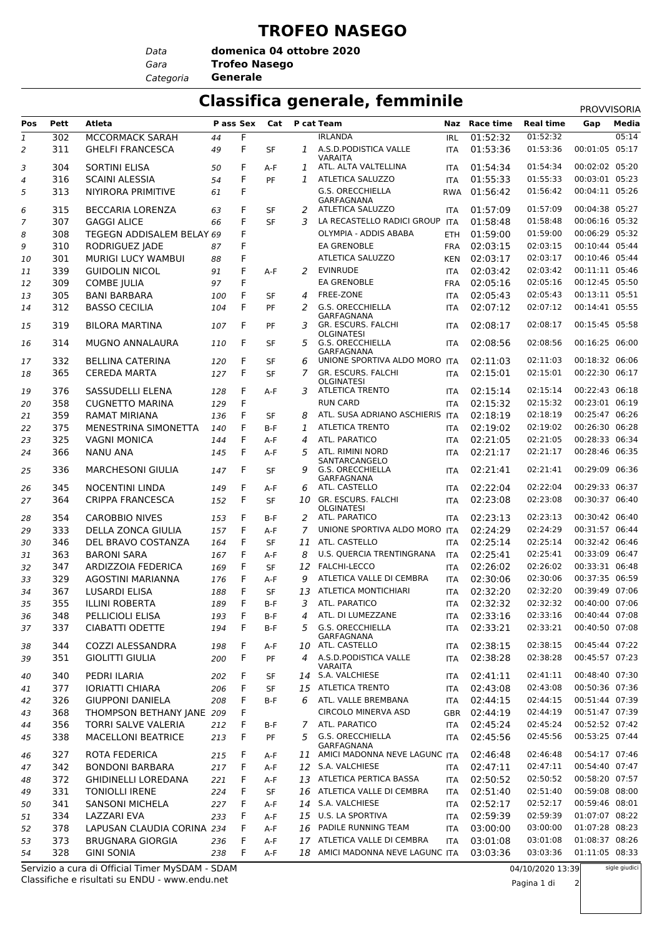## **TROFEO NASEGO**

*Data*

*Gara* **Trofeo Nasego domenica 04 ottobre 2020**

*Categoria* **Generale**

## **Classifica generale, femminile** PROVVISORIA

| Pos            | Pett | Atleta                                          | P ass Sex |   | Cat       |              | P cat Team                                     |                   | Naz Race time | <b>Real time</b> | Gap            | Media         |
|----------------|------|-------------------------------------------------|-----------|---|-----------|--------------|------------------------------------------------|-------------------|---------------|------------------|----------------|---------------|
| 1              | 302  | MCCORMACK SARAH                                 | 44        | F |           |              | <b>IRLANDA</b>                                 | <b>IRL</b>        | 01:52:32      | 01:52:32         |                | 05:14         |
| 2              | 311  | <b>GHELFI FRANCESCA</b>                         | 49        | F | <b>SF</b> | $\mathbf{1}$ | A.S.D.PODISTICA VALLE<br><b>VARAITA</b>        | ITA               | 01:53:36      | 01:53:36         | 00:01:05 05:17 |               |
| 3              | 304  | <b>SORTINI ELISA</b>                            | 50        | F | A-F       | 1            | ATL. ALTA VALTELLINA                           | <b>ITA</b>        | 01:54:34      | 01:54:34         | 00:02:02 05:20 |               |
| $\overline{4}$ | 316  | <b>SCAINI ALESSIA</b>                           | 54        | F | PF        | $\mathbf{1}$ | ATLETICA SALUZZO                               | <b>ITA</b>        | 01:55:33      | 01:55:33         | 00:03:01 05:23 |               |
| 5              | 313  | NIYIRORA PRIMITIVE                              | 61        | F |           |              | <b>G.S. ORECCHIELLA</b><br>GARFAGNANA          | <b>RWA</b>        | 01:56:42      | 01:56:42         | 00:04:11 05:26 |               |
| 6              | 315  | <b>BECCARIA LORENZA</b>                         | 63        | F | <b>SF</b> | 2            | ATLETICA SALUZZO                               | <b>ITA</b>        | 01:57:09      | 01:57:09         | 00:04:38 05:27 |               |
| $\overline{7}$ | 307  | <b>GAGGI ALICE</b>                              | 66        | F | <b>SF</b> | 3            | LA RECASTELLO RADICI GROUP                     | <b>ITA</b>        | 01:58:48      | 01:58:48         | 00:06:16 05:32 |               |
|                | 308  | TEGEGN ADDISALEM BELAY 69                       |           | F |           |              | OLYMPIA - ADDIS ABABA                          | ETH               | 01:59:00      | 01:59:00         | 00:06:29 05:32 |               |
| 8              |      |                                                 |           |   |           |              |                                                |                   |               | 02:03:15         | 00:10:44 05:44 |               |
| 9              | 310  | RODRIGUEZ JADE                                  | 87        | F |           |              | <b>EA GRENOBLE</b>                             | <b>FRA</b>        | 02:03:15      |                  |                |               |
| 10             | 301  | <b>MURIGI LUCY WAMBUI</b>                       | 88        | F |           |              | ATLETICA SALUZZO                               | <b>KEN</b>        | 02:03:17      | 02:03:17         | 00:10:46 05:44 |               |
| 11             | 339  | <b>GUIDOLIN NICOL</b>                           | 91        | F | $A-F$     | 2            | <b>EVINRUDE</b>                                | <b>ITA</b>        | 02:03:42      | 02:03:42         | 00:11:11 05:46 |               |
| 12             | 309  | <b>COMBE JULIA</b>                              | 97        | F |           |              | <b>EA GRENOBLE</b>                             | <b>FRA</b>        | 02:05:16      | 02:05:16         | 00:12:45 05:50 |               |
| 13             | 305  | <b>BANI BARBARA</b>                             | 100       | F | <b>SF</b> | 4            | FREE-ZONE                                      | <b>ITA</b>        | 02:05:43      | 02:05:43         | 00:13:11 05:51 |               |
| 14             | 312  | <b>BASSO CECILIA</b>                            | 104       | F | PF        | 2            | G.S. ORECCHIELLA<br>GARFAGNANA                 | <b>ITA</b>        | 02:07:12      | 02:07:12         | 00:14:41 05:55 |               |
| 15             | 319  | <b>BILORA MARTINA</b>                           | 107       | F | PF        | 3            | GR. ESCURS. FALCHI<br><b>OLGINATESI</b>        | <b>ITA</b>        | 02:08:17      | 02:08:17         | 00:15:45 05:58 |               |
| 16             | 314  | <b>MUGNO ANNALAURA</b>                          | 110       | F | SF        | 5            | <b>G.S. ORECCHIELLA</b><br>GARFAGNANA          | <b>ITA</b>        | 02:08:56      | 02:08:56         | 00:16:25 06:00 |               |
| 17             | 332  | <b>BELLINA CATERINA</b>                         | 120       | F | SF        | 6            | UNIONE SPORTIVA ALDO MORO ITA                  |                   | 02:11:03      | 02:11:03         | 00:18:32 06:06 |               |
| 18             | 365  | <b>CEREDA MARTA</b>                             | 127       | F | SF        | 7            | GR. ESCURS. FALCHI<br><b>OLGINATESI</b>        | <b>ITA</b>        | 02:15:01      | 02:15:01         | 00:22:30 06:17 |               |
| 19             | 376  | SASSUDELLI ELENA                                | 128       | F | A-F       | 3            | <b>ATLETICA TRENTO</b>                         | <b>ITA</b>        | 02:15:14      | 02:15:14         | 00:22:43 06:18 |               |
| 20             | 358  | <b>CUGNETTO MARINA</b>                          | 129       | F |           |              | <b>RUN CARD</b>                                | <b>ITA</b>        | 02:15:32      | 02:15:32         | 00:23:01 06:19 |               |
| 21             | 359  | <b>RAMAT MIRIANA</b>                            | 136       | F | <b>SF</b> | 8            | ATL. SUSA ADRIANO ASCHIERIS ITA                |                   | 02:18:19      | 02:18:19         | 00:25:47 06:26 |               |
| 22             | 375  | MENESTRINA SIMONETTA                            | 140       | F | $B-F$     | 1            | <b>ATLETICA TRENTO</b>                         | <b>ITA</b>        | 02:19:02      | 02:19:02         | 00:26:30 06:28 |               |
| 23             | 325  | <b>VAGNI MONICA</b>                             | 144       | F | A-F       | 4            | ATL. PARATICO                                  | <b>ITA</b>        | 02:21:05      | 02:21:05         | 00:28:33 06:34 |               |
| 24             | 366  | <b>NANU ANA</b>                                 | 145       | F | $A-F$     | 5            | ATL. RIMINI NORD                               | <b>ITA</b>        | 02:21:17      | 02:21:17         | 00:28:46 06:35 |               |
| 25             | 336  | <b>MARCHESONI GIULIA</b>                        | 147       | F | <b>SF</b> | 9            | SANTARCANGELO<br><b>G.S. ORECCHIELLA</b>       | <b>ITA</b>        | 02:21:41      | 02:21:41         | 00:29:09 06:36 |               |
| 26             | 345  | <b>NOCENTINI LINDA</b>                          | 149       | F | A-F       | 6            | GARFAGNANA<br>ATL. CASTELLO                    | <b>ITA</b>        | 02:22:04      | 02:22:04         | 00:29:33 06:37 |               |
| 27             | 364  | <b>CRIPPA FRANCESCA</b>                         | 152       | F | <b>SF</b> | 10           | <b>GR. ESCURS. FALCHI</b><br><b>OLGINATESI</b> | <b>ITA</b>        | 02:23:08      | 02:23:08         | 00:30:37       | 06:40         |
| 28             | 354  | <b>CAROBBIO NIVES</b>                           | 153       | F | $B-F$     | 2            | ATL. PARATICO                                  | <b>ITA</b>        | 02:23:13      | 02:23:13         | 00:30:42 06:40 |               |
| 29             | 333  | DELLA ZONCA GIULIA                              | 157       | F | A-F       | 7            | UNIONE SPORTIVA ALDO MORO ITA                  |                   | 02:24:29      | 02:24:29         | 00:31:57 06:44 |               |
| 30             | 346  | DEL BRAVO COSTANZA                              | 164       | F | <b>SF</b> | 11           | ATL. CASTELLO                                  | <b>ITA</b>        | 02:25:14      | 02:25:14         | 00:32:42 06:46 |               |
| 31             | 363  | <b>BARONI SARA</b>                              | 167       | F | A-F       | 8            | U.S. QUERCIA TRENTINGRANA                      | <b>ITA</b>        | 02:25:41      | 02:25:41         | 00:33:09 06:47 |               |
| 32             | 347  | ARDIZZOIA FEDERICA                              | 169       | F | SF        | 12           | <b>FALCHI-LECCO</b>                            | <b>ITA</b>        | 02:26:02      | 02:26:02         | 00:33:31 06:48 |               |
| 33             | 329  | <b>AGOSTINI MARIANNA</b>                        | 176       | F | A-F       | 9            | ATLETICA VALLE DI CEMBRA                       | <b>ITA</b>        | 02:30:06      | 02:30:06         | 00:37:35 06:59 |               |
|                |      |                                                 |           | F |           |              | <b>ATLETICA MONTICHIARI</b>                    |                   |               | 02:32:20         | 00:39:49 07:06 |               |
| 34             | 367  | <b>LUSARDI ELISA</b>                            | 188       |   | SF        | 13           |                                                | <b>ITA</b>        | 02:32:20      |                  |                |               |
| 35             | 355  | <b>ILLINI ROBERTA</b>                           | 189       | F | $B-F$     | 3            | ATL. PARATICO                                  | <b>ITA</b>        | 02:32:32      | 02:32:32         | 00:40:00 07:06 |               |
| 36             | 348  | PELLICIOLI ELISA                                | 193       | F | B-F       | 4            | ATL. DI LUMEZZANE                              | ITA               | 02:33:16      | 02:33:16         | 00:40:44 07:08 |               |
| 37             | 337  | <b>CIABATTI ODETTE</b>                          | 194       | F | B-F       | 5            | <b>G.S. ORECCHIELLA</b><br>GARFAGNANA          | ITA               | 02:33:21      | 02:33:21         | 00:40:50 07:08 |               |
| 38             | 344  | <b>COZZI ALESSANDRA</b>                         | 198       | F | A-F       |              | 10 ATL. CASTELLO                               | <b>ITA</b>        | 02:38:15      | 02:38:15         | 00:45:44 07:22 |               |
| 39             | 351  | <b>GIOLITTI GIULIA</b>                          | 200       | F | PF        | 4            | A.S.D.PODISTICA VALLE<br>VARAITA               | ITA               | 02:38:28      | 02:38:28         | 00:45:57 07:23 |               |
| 40             | 340  | PEDRI ILARIA                                    | 202       | F | SF        |              | 14 S.A. VALCHIESE                              | <b>ITA</b>        | 02:41:11      | 02:41:11         | 00:48:40 07:30 |               |
| 41             | 377  | <b>IORIATTI CHIARA</b>                          | 206       | F | SF        | 15           | <b>ATLETICA TRENTO</b>                         | <b>ITA</b>        | 02:43:08      | 02:43:08         | 00:50:36 07:36 |               |
| 42             | 326  | <b>GIUPPONI DANIELA</b>                         | 208       | F | B-F       |              | 6 ATL. VALLE BREMBANA                          | <b>ITA</b>        | 02:44:15      | 02:44:15         | 00:51:44 07:39 |               |
| 43             | 368  | THOMPSON BETHANY JANE 209                       |           | F |           |              | <b>CIRCOLO MINERVA ASD</b>                     | <b>GBR</b>        | 02:44:19      | 02:44:19         | 00:51:47 07:39 |               |
| 44             | 356  | <b>TORRI SALVE VALERIA</b>                      | 212       | F | B-F       | 7            | ATL. PARATICO                                  | <b>ITA</b>        | 02:45:24      | 02:45:24         | 00:52:52 07:42 |               |
| 45             | 338  | <b>MACELLONI BEATRICE</b>                       | 213       | F | PF        | 5            | G.S. ORECCHIELLA                               | ITA               | 02:45:56      | 02:45:56         | 00:53:25 07:44 |               |
| 46             | 327  | ROTA FEDERICA                                   | 215       | F | A-F       |              | GARFAGNANA<br>11 AMICI MADONNA NEVE LAGUNC ITA |                   | 02:46:48      | 02:46:48         | 00:54:17 07:46 |               |
| 47             | 342  | <b>BONDONI BARBARA</b>                          | 217       | F | A-F       |              | 12 S.A. VALCHIESE                              | ITA               | 02:47:11      | 02:47:11         | 00:54:40 07:47 |               |
| 48             | 372  | <b>GHIDINELLI LOREDANA</b>                      | 221       | F | A-F       |              | 13 ATLETICA PERTICA BASSA                      | <b>ITA</b>        | 02:50:52      | 02:50:52         | 00:58:20 07:57 |               |
| 49             | 331  | <b>TONIOLLI IRENE</b>                           | 224       | F | SF        |              | 16 ATLETICA VALLE DI CEMBRA                    | <b>ITA</b>        | 02:51:40      | 02:51:40         | 00:59:08 08:00 |               |
| 50             | 341  | <b>SANSONI MICHELA</b>                          | 227       | F | A-F       | 14           | S.A. VALCHIESE                                 | ITA               | 02:52:17      | 02:52:17         | 00:59:46 08:01 |               |
| 51             | 334  | LAZZARI EVA                                     | 233       | F | A-F       |              | 15 U.S. LA SPORTIVA                            | <b>ITA</b>        | 02:59:39      | 02:59:39         | 01:07:07 08:22 |               |
|                | 378  | LAPUSAN CLAUDIA CORINA 234                      |           | F | A-F       |              | 16 PADILE RUNNING TEAM                         |                   | 03:00:00      | 03:00:00         | 01:07:28 08:23 |               |
| 52<br>53       | 373  | <b>BRUGNARA GIORGIA</b>                         | 236       | F | A-F       |              | 17 ATLETICA VALLE DI CEMBRA                    | ITA<br><b>ITA</b> | 03:01:08      | 03:01:08         | 01:08:37 08:26 |               |
| 54             | 328  | <b>GINI SONIA</b>                               | 238       | F | A-F       | 18           | AMICI MADONNA NEVE LAGUNC ITA                  |                   | 03:03:36      | 03:03:36         | 01:11:05 08:33 |               |
|                |      | Servizio a cura di Official Timer MySDAM - SDAM |           |   |           |              |                                                |                   |               | 04/10/2020 13:39 |                | sigle giudici |

Classifiche e risultati su ENDU - www.endu.net Servizio a cura di Official Timer MySDAM - SDAM 04/10/2020 13:39